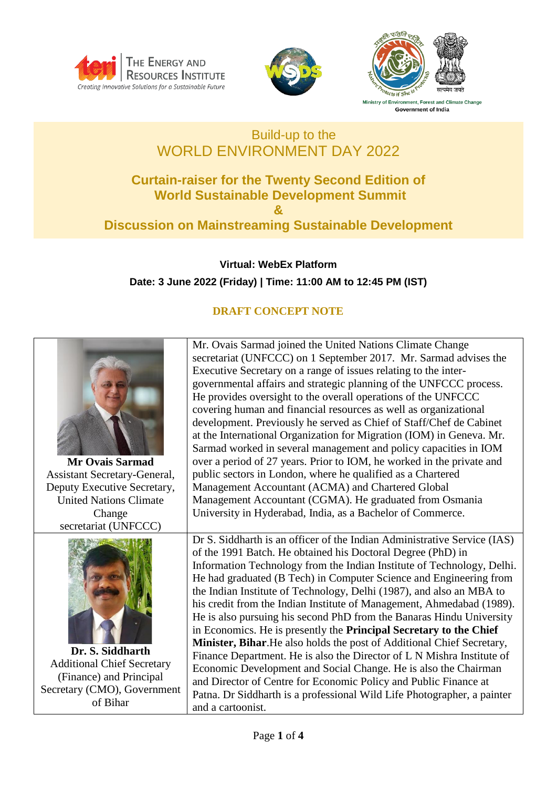





Ministry of Environment, Forest and Climate Change **Government of India** 

## Build-up to the WORLD ENVIRONMENT DAY 2022

## **Curtain-raiser for the Twenty Second Edition of World Sustainable Development Summit & Discussion on Mainstreaming Sustainable Development**

**Virtual: WebEx Platform Date: 3 June 2022 (Friday) | Time: 11:00 AM to 12:45 PM (IST)**

## **DRAFT CONCEPT NOTE**



and a cartoonist.

Additional Chief Secretary (Finance) and Principal Secretary (CMO), Government of Bihar

and Director of Centre for Economic Policy and Public Finance at Patna. Dr Siddharth is a professional Wild Life Photographer, a painter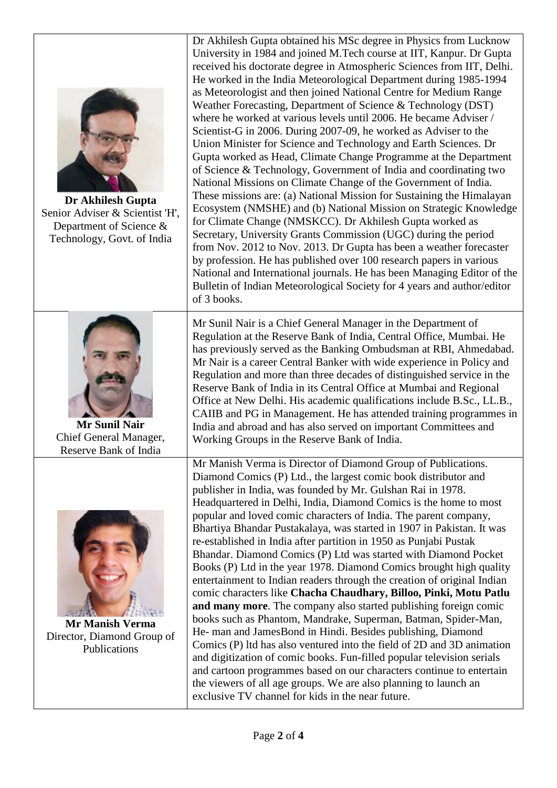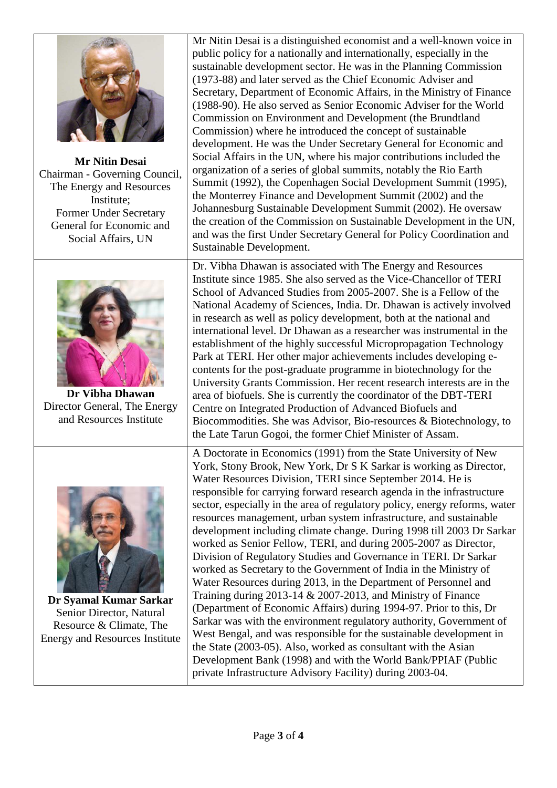

**Mr Nitin Desai** Chairman - Governing Council, The Energy and Resources Institute; Former Under Secretary General for Economic and Social Affairs, UN



**Dr Vibha Dhawan** Director General, The Energy and Resources Institute



**Dr Syamal Kumar Sarkar** Senior Director, Natural Resource & Climate, The Energy and Resources Institute

Mr Nitin Desai is a distinguished economist and a well-known voice in public policy for a nationally and internationally, especially in the sustainable development sector. He was in the Planning Commission (1973-88) and later served as the Chief Economic Adviser and Secretary, Department of Economic Affairs, in the Ministry of Finance (1988-90). He also served as Senior Economic Adviser for the World Commission on Environment and Development (the Brundtland Commission) where he introduced the concept of sustainable development. He was the Under Secretary General for Economic and Social Affairs in the UN, where his major contributions included the organization of a series of global summits, notably the Rio Earth Summit (1992), the Copenhagen Social Development Summit (1995), the Monterrey Finance and Development Summit (2002) and the Johannesburg Sustainable Development Summit (2002). He oversaw the creation of the Commission on Sustainable Development in the UN, and was the first Under Secretary General for Policy Coordination and Sustainable Development.

Dr. Vibha Dhawan is associated with The Energy and Resources Institute since 1985. She also served as the Vice-Chancellor of TERI School of Advanced Studies from 2005-2007. She is a Fellow of the National Academy of Sciences, India. Dr. Dhawan is actively involved in research as well as policy development, both at the national and international level. Dr Dhawan as a researcher was instrumental in the establishment of the highly successful Micropropagation Technology Park at TERI. Her other major achievements includes developing econtents for the post-graduate programme in biotechnology for the University Grants Commission. Her recent research interests are in the area of biofuels. She is currently the coordinator of the DBT-TERI Centre on Integrated Production of Advanced Biofuels and Biocommodities. She was Advisor, Bio-resources & Biotechnology, to the Late Tarun Gogoi, the former Chief Minister of Assam.

A Doctorate in Economics (1991) from the State University of New York, Stony Brook, New York, Dr S K Sarkar is working as Director, Water Resources Division, TERI since September 2014. He is responsible for carrying forward research agenda in the infrastructure sector, especially in the area of regulatory policy, energy reforms, water resources management, urban system infrastructure, and sustainable development including climate change. During 1998 till 2003 Dr Sarkar worked as Senior Fellow, TERI, and during 2005-2007 as Director, Division of Regulatory Studies and Governance in TERI. Dr Sarkar worked as Secretary to the Government of India in the Ministry of Water Resources during 2013, in the Department of Personnel and Training during 2013-14 & 2007-2013, and Ministry of Finance (Department of Economic Affairs) during 1994-97. Prior to this, Dr Sarkar was with the environment regulatory authority, Government of West Bengal, and was responsible for the sustainable development in the State (2003-05). Also, worked as consultant with the Asian Development Bank (1998) and with the World Bank/PPIAF (Public private Infrastructure Advisory Facility) during 2003-04.